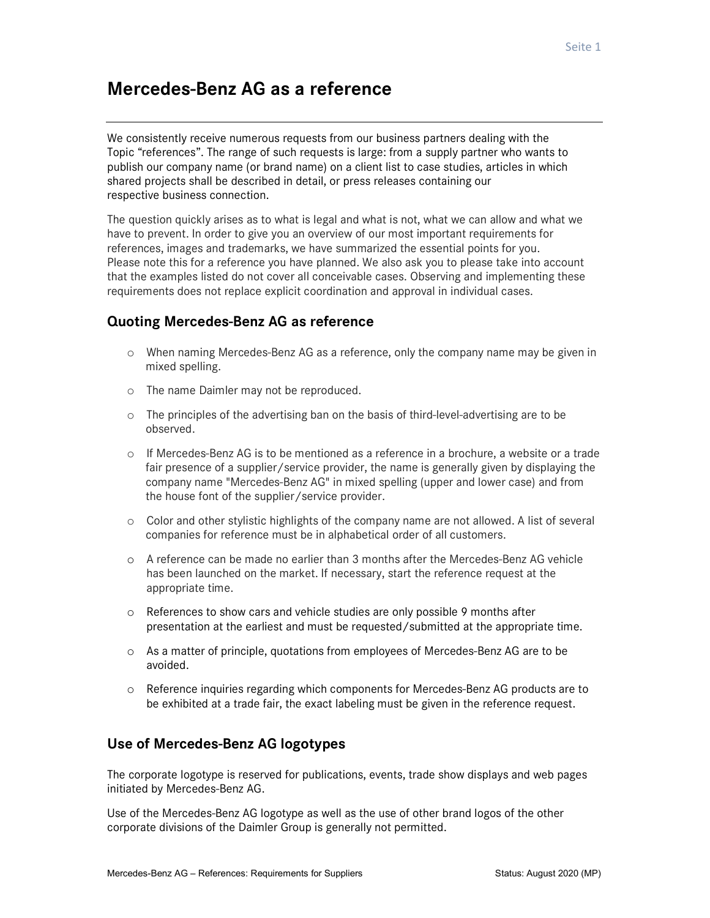# Mercedes-Benz AG as a reference

We consistently receive numerous requests from our business partners dealing with the Topic "references". The range of such requests is large: from a supply partner who wants to publish our company name (or brand name) on a client list to case studies, articles in which shared projects shall be described in detail, or press releases containing our respective business connection.

The question quickly arises as to what is legal and what is not, what we can allow and what we have to prevent. In order to give you an overview of our most important requirements for references, images and trademarks, we have summarized the essential points for you. Please note this for a reference you have planned. We also ask you to please take into account that the examples listed do not cover all conceivable cases. Observing and implementing these requirements does not replace explicit coordination and approval in individual cases.

### Quoting Mercedes-Benz AG as reference

- o When naming Mercedes-Benz AG as a reference, only the company name may be given in mixed spelling.
- o The name Daimler may not be reproduced.
- o The principles of the advertising ban on the basis of third-level-advertising are to be observed.
- $\circ$  If Mercedes-Benz AG is to be mentioned as a reference in a brochure, a website or a trade fair presence of a supplier/service provider, the name is generally given by displaying the company name "Mercedes-Benz AG" in mixed spelling (upper and lower case) and from the house font of the supplier/service provider.
- o Color and other stylistic highlights of the company name are not allowed. A list of several companies for reference must be in alphabetical order of all customers.
- o A reference can be made no earlier than 3 months after the Mercedes-Benz AG vehicle has been launched on the market. If necessary, start the reference request at the appropriate time.
- o References to show cars and vehicle studies are only possible 9 months after presentation at the earliest and must be requested/submitted at the appropriate time.
- o As a matter of principle, quotations from employees of Mercedes-Benz AG are to be avoided.
- o Reference inquiries regarding which components for Mercedes-Benz AG products are to be exhibited at a trade fair, the exact labeling must be given in the reference request.

### Use of Mercedes-Benz AG logotypes

The corporate logotype is reserved for publications, events, trade show displays and web pages initiated by Mercedes-Benz AG.

Use of the Mercedes-Benz AG logotype as well as the use of other brand logos of the other corporate divisions of the Daimler Group is generally not permitted.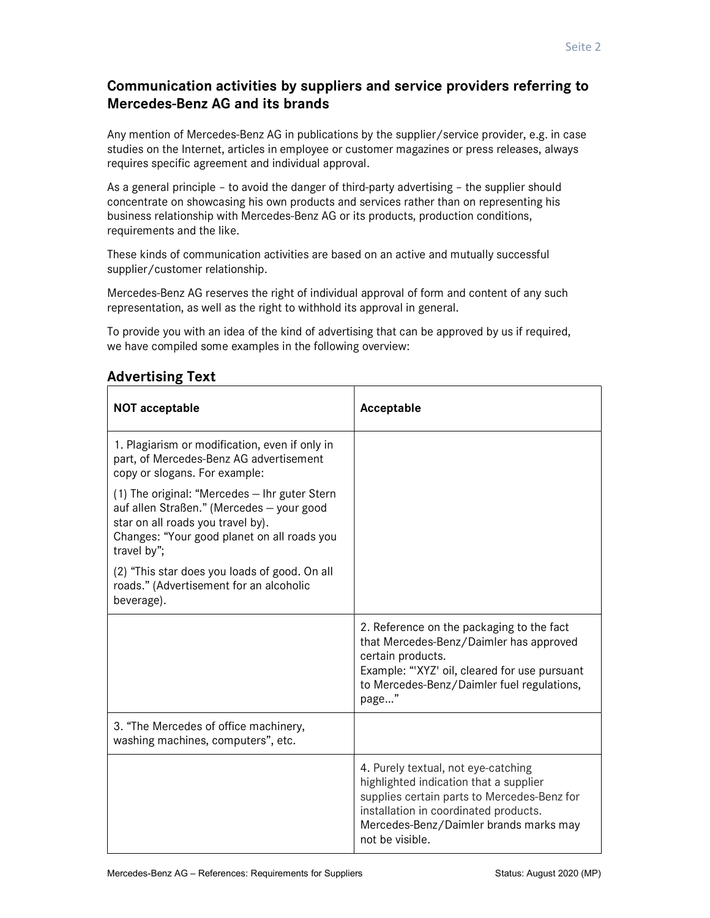## Communication activities by suppliers and service providers referring to Mercedes-Benz AG and its brands

Any mention of Mercedes-Benz AG in publications by the supplier/service provider, e.g. in case studies on the Internet, articles in employee or customer magazines or press releases, always requires specific agreement and individual approval.

As a general principle – to avoid the danger of third-party advertising – the supplier should concentrate on showcasing his own products and services rather than on representing his business relationship with Mercedes-Benz AG or its products, production conditions, requirements and the like.

These kinds of communication activities are based on an active and mutually successful supplier/customer relationship.

Mercedes-Benz AG reserves the right of individual approval of form and content of any such representation, as well as the right to withhold its approval in general.

To provide you with an idea of the kind of advertising that can be approved by us if required, we have compiled some examples in the following overview:

| <b>NOT acceptable</b>                                                                                                                                                                         | Acceptable                                                                                                                                                                                                                         |
|-----------------------------------------------------------------------------------------------------------------------------------------------------------------------------------------------|------------------------------------------------------------------------------------------------------------------------------------------------------------------------------------------------------------------------------------|
| 1. Plagiarism or modification, even if only in<br>part, of Mercedes-Benz AG advertisement<br>copy or slogans. For example:                                                                    |                                                                                                                                                                                                                                    |
| (1) The original: "Mercedes - Ihr guter Stern<br>auf allen Straßen." (Mercedes - your good<br>star on all roads you travel by).<br>Changes: "Your good planet on all roads you<br>travel by"; |                                                                                                                                                                                                                                    |
| (2) "This star does you loads of good. On all<br>roads." (Advertisement for an alcoholic<br>beverage).                                                                                        |                                                                                                                                                                                                                                    |
|                                                                                                                                                                                               | 2. Reference on the packaging to the fact<br>that Mercedes-Benz/Daimler has approved<br>certain products.<br>Example: "'XYZ' oil, cleared for use pursuant<br>to Mercedes-Benz/Daimler fuel regulations,<br>page"                  |
| 3. "The Mercedes of office machinery,<br>washing machines, computers", etc.                                                                                                                   |                                                                                                                                                                                                                                    |
|                                                                                                                                                                                               | 4. Purely textual, not eye-catching<br>highlighted indication that a supplier<br>supplies certain parts to Mercedes-Benz for<br>installation in coordinated products.<br>Mercedes-Benz/Daimler brands marks may<br>not be visible. |

### Advertising Text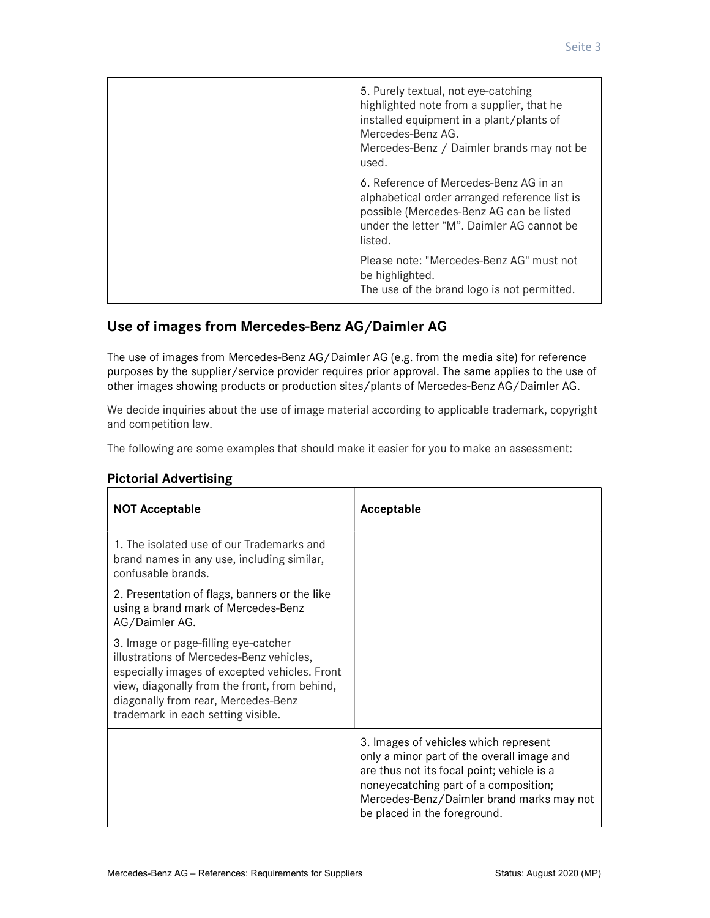| 5. Purely textual, not eye-catching<br>highlighted note from a supplier, that he<br>installed equipment in a plant/plants of<br>Mercedes-Benz AG.<br>Mercedes-Benz / Daimler brands may not be<br>used. |
|---------------------------------------------------------------------------------------------------------------------------------------------------------------------------------------------------------|
| 6. Reference of Mercedes-Benz AG in an<br>alphabetical order arranged reference list is<br>possible (Mercedes-Benz AG can be listed<br>under the letter "M". Daimler AG cannot be<br>listed.            |
| Please note: "Mercedes-Benz AG" must not<br>be highlighted.<br>The use of the brand logo is not permitted.                                                                                              |

### Use of images from Mercedes-Benz AG/Daimler AG

The use of images from Mercedes-Benz AG/Daimler AG (e.g. from the media site) for reference purposes by the supplier/service provider requires prior approval. The same applies to the use of other images showing products or production sites/plants of Mercedes-Benz AG/Daimler AG.

We decide inquiries about the use of image material according to applicable trademark, copyright and competition law.

The following are some examples that should make it easier for you to make an assessment:

| <b>NOT Acceptable</b>                                                                                                                                                                                                                                           | Acceptable                                                                                                                                                                                                                                              |
|-----------------------------------------------------------------------------------------------------------------------------------------------------------------------------------------------------------------------------------------------------------------|---------------------------------------------------------------------------------------------------------------------------------------------------------------------------------------------------------------------------------------------------------|
| 1. The isolated use of our Trademarks and<br>brand names in any use, including similar,<br>confusable brands.                                                                                                                                                   |                                                                                                                                                                                                                                                         |
| 2. Presentation of flags, banners or the like<br>using a brand mark of Mercedes-Benz<br>AG/Daimler AG.                                                                                                                                                          |                                                                                                                                                                                                                                                         |
| 3. Image or page-filling eye-catcher<br>illustrations of Mercedes-Benz vehicles,<br>especially images of excepted vehicles. Front<br>view, diagonally from the front, from behind,<br>diagonally from rear, Mercedes-Benz<br>trademark in each setting visible. |                                                                                                                                                                                                                                                         |
|                                                                                                                                                                                                                                                                 | 3. Images of vehicles which represent<br>only a minor part of the overall image and<br>are thus not its focal point; vehicle is a<br>noneyecatching part of a composition;<br>Mercedes-Benz/Daimler brand marks may not<br>be placed in the foreground. |

#### Pictorial Advertising